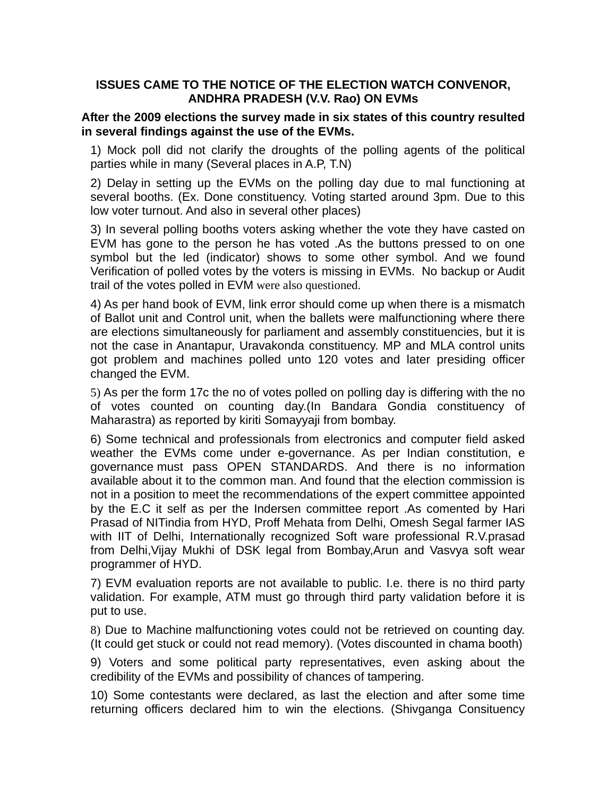## **ISSUES CAME TO THE NOTICE OF THE ELECTION WATCH CONVENOR, ANDHRA PRADESH (V.V. Rao) ON EVMs**

## **After the 2009 elections the survey made in six states of this country resulted in several findings against the use of the EVMs.**

1) Mock poll did not clarify the droughts of the polling agents of the political parties while in many (Several places in A.P, T.N)

2) Delay in setting up the EVMs on the polling day due to mal functioning at several booths. (Ex. Done constituency. Voting started around 3pm. Due to this low voter turnout. And also in several other places)

3) In several polling booths voters asking whether the vote they have casted on EVM has gone to the person he has voted .As the buttons pressed to on one symbol but the led (indicator) shows to some other symbol. And we found Verification of polled votes by the voters is missing in EVMs. No backup or Audit trail of the votes polled in EVM were also questioned.

4) As per hand book of EVM, link error should come up when there is a mismatch of Ballot unit and Control unit, when the ballets were malfunctioning where there are elections simultaneously for parliament and assembly constituencies, but it is not the case in Anantapur, Uravakonda constituency. MP and MLA control units got problem and machines polled unto 120 votes and later presiding officer changed the EVM.

5) As per the form 17c the no of votes polled on polling day is differing with the no of votes counted on counting day.(In Bandara Gondia constituency of Maharastra) as reported by kiriti Somayyaji from bombay.

6) Some technical and professionals from electronics and computer field asked weather the EVMs come under e-governance. As per Indian constitution, e governance must pass OPEN STANDARDS. And there is no information available about it to the common man. And found that the election commission is not in a position to meet the recommendations of the expert committee appointed by the E.C it self as per the Indersen committee report .As comented by Hari Prasad of NITindia from HYD, Proff Mehata from Delhi, Omesh Segal farmer IAS with IIT of Delhi, Internationally recognized Soft ware professional R.V.prasad from Delhi,Vijay Mukhi of DSK legal from Bombay,Arun and Vasvya soft wear programmer of HYD.

7) EVM evaluation reports are not available to public. I.e. there is no third party validation. For example, ATM must go through third party validation before it is put to use.

8) Due to Machine malfunctioning votes could not be retrieved on counting day. (It could get stuck or could not read memory). (Votes discounted in chama booth)

9) Voters and some political party representatives, even asking about the credibility of the EVMs and possibility of chances of tampering.

10) Some contestants were declared, as last the election and after some time returning officers declared him to win the elections. (Shivganga Consituency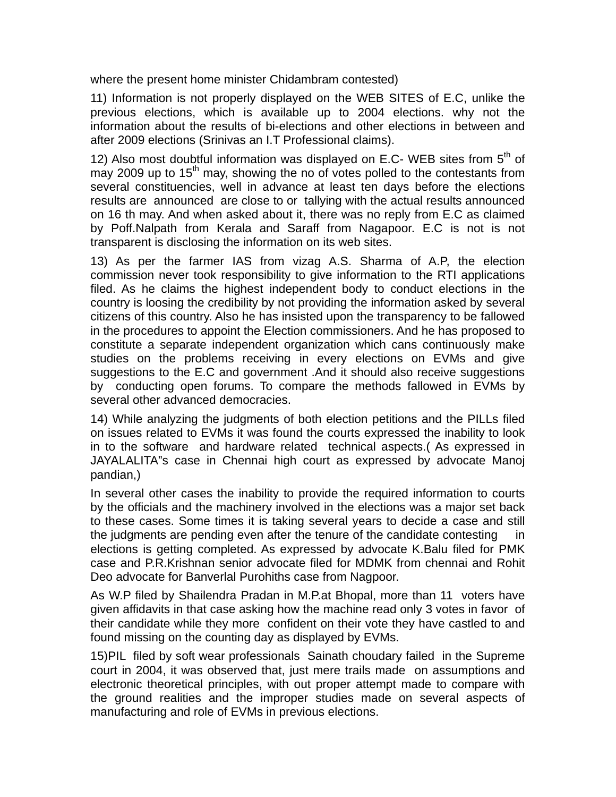where the present home minister Chidambram contested)

11) Information is not properly displayed on the WEB SITES of E.C, unlike the previous elections, which is available up to 2004 elections. why not the information about the results of bi-elections and other elections in between and after 2009 elections (Srinivas an I.T Professional claims).

12) Also most doubtful information was displayed on E.C- WEB sites from  $5<sup>th</sup>$  of may 2009 up to  $15<sup>th</sup>$  may, showing the no of votes polled to the contestants from several constituencies, well in advance at least ten days before the elections results are announced are close to or tallying with the actual results announced on 16 th may. And when asked about it, there was no reply from E.C as claimed by Poff.Nalpath from Kerala and Saraff from Nagapoor. E.C is not is not transparent is disclosing the information on its web sites.

13) As per the farmer IAS from vizag A.S. Sharma of A.P, the election commission never took responsibility to give information to the RTI applications filed. As he claims the highest independent body to conduct elections in the country is loosing the credibility by not providing the information asked by several citizens of this country. Also he has insisted upon the transparency to be fallowed in the procedures to appoint the Election commissioners. And he has proposed to constitute a separate independent organization which cans continuously make studies on the problems receiving in every elections on EVMs and give suggestions to the E.C and government .And it should also receive suggestions by conducting open forums. To compare the methods fallowed in EVMs by several other advanced democracies.

14) While analyzing the judgments of both election petitions and the PILLs filed on issues related to EVMs it was found the courts expressed the inability to look in to the software and hardware related technical aspects.( As expressed in JAYALALITA"s case in Chennai high court as expressed by advocate Manoj pandian,)

In several other cases the inability to provide the required information to courts by the officials and the machinery involved in the elections was a major set back to these cases. Some times it is taking several years to decide a case and still the judgments are pending even after the tenure of the candidate contesting in elections is getting completed. As expressed by advocate K.Balu filed for PMK case and P.R.Krishnan senior advocate filed for MDMK from chennai and Rohit Deo advocate for Banverlal Purohiths case from Nagpoor.

As W.P filed by Shailendra Pradan in M.P.at Bhopal, more than 11 voters have given affidavits in that case asking how the machine read only 3 votes in favor of their candidate while they more confident on their vote they have castled to and found missing on the counting day as displayed by EVMs.

15)PIL filed by soft wear professionals Sainath choudary failed in the Supreme court in 2004, it was observed that, just mere trails made on assumptions and electronic theoretical principles, with out proper attempt made to compare with the ground realities and the improper studies made on several aspects of manufacturing and role of EVMs in previous elections.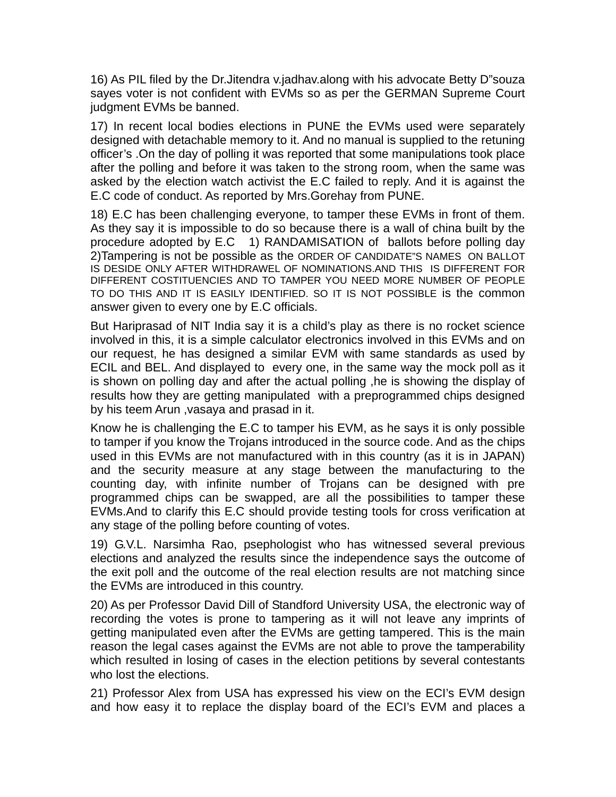16) As PIL filed by the Dr.Jitendra v.jadhav.along with his advocate Betty D"souza sayes voter is not confident with EVMs so as per the GERMAN Supreme Court judgment EVMs be banned.

17) In recent local bodies elections in PUNE the EVMs used were separately designed with detachable memory to it. And no manual is supplied to the retuning officer's .On the day of polling it was reported that some manipulations took place after the polling and before it was taken to the strong room, when the same was asked by the election watch activist the E.C failed to reply. And it is against the E.C code of conduct. As reported by Mrs.Gorehay from PUNE.

18) E.C has been challenging everyone, to tamper these EVMs in front of them. As they say it is impossible to do so because there is a wall of china built by the procedure adopted by E.C 1) RANDAMISATION of ballots before polling day 2)Tampering is not be possible as the ORDER OF CANDIDATE"S NAMES ON BALLOT IS DESIDE ONLY AFTER WITHDRAWEL OF NOMINATIONS.AND THIS IS DIFFERENT FOR DIFFERENT COSTITUENCIES AND TO TAMPER YOU NEED MORE NUMBER OF PEOPLE TO DO THIS AND IT IS EASILY IDENTIFIED. SO IT IS NOT POSSIBLE is the common answer given to every one by E.C officials.

But Hariprasad of NIT India say it is a child's play as there is no rocket science involved in this, it is a simple calculator electronics involved in this EVMs and on our request, he has designed a similar EVM with same standards as used by ECIL and BEL. And displayed to every one, in the same way the mock poll as it is shown on polling day and after the actual polling ,he is showing the display of results how they are getting manipulated with a preprogrammed chips designed by his teem Arun ,vasaya and prasad in it.

Know he is challenging the E.C to tamper his EVM, as he says it is only possible to tamper if you know the Trojans introduced in the source code. And as the chips used in this EVMs are not manufactured with in this country (as it is in JAPAN) and the security measure at any stage between the manufacturing to the counting day, with infinite number of Trojans can be designed with pre programmed chips can be swapped, are all the possibilities to tamper these EVMs.And to clarify this E.C should provide testing tools for cross verification at any stage of the polling before counting of votes.

19) G.V.L. Narsimha Rao, psephologist who has witnessed several previous elections and analyzed the results since the independence says the outcome of the exit poll and the outcome of the real election results are not matching since the EVMs are introduced in this country.

20) As per Professor David Dill of Standford University USA, the electronic way of recording the votes is prone to tampering as it will not leave any imprints of getting manipulated even after the EVMs are getting tampered. This is the main reason the legal cases against the EVMs are not able to prove the tamperability which resulted in losing of cases in the election petitions by several contestants who lost the elections.

21) Professor Alex from USA has expressed his view on the ECI's EVM design and how easy it to replace the display board of the ECI's EVM and places a